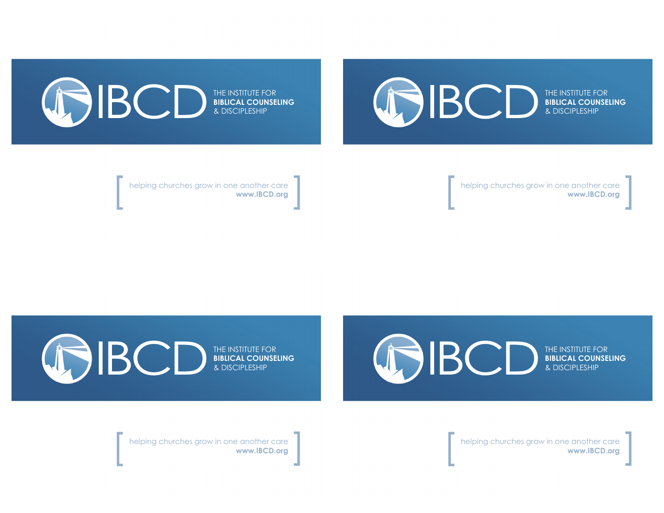## IBCD<sup>EHE</sup>

THE INSTITUTE FOR **BIBLICAL COUNSELING**



helping churches grow in one another care<br>**www.IBCD.org** 

THE INSTITUTE FOR<br>BIBLICAL COUNSELING<br>& DISCIPLESHIP

helping churches grow in one another care<br>**www.IBCD.org** 

IBCD<sup>EHE</sup> THE INSTITUTE FOR **BIBLICAL COUNSELING**

THE INSTITUTE FOR **BIBLICAL COUNSELING** & DISCIPLESHIP

helping churches grow in one another care [ **www.IBCD.org** ]

helping churches grow in one another care [ **www.IBCD.org** ]